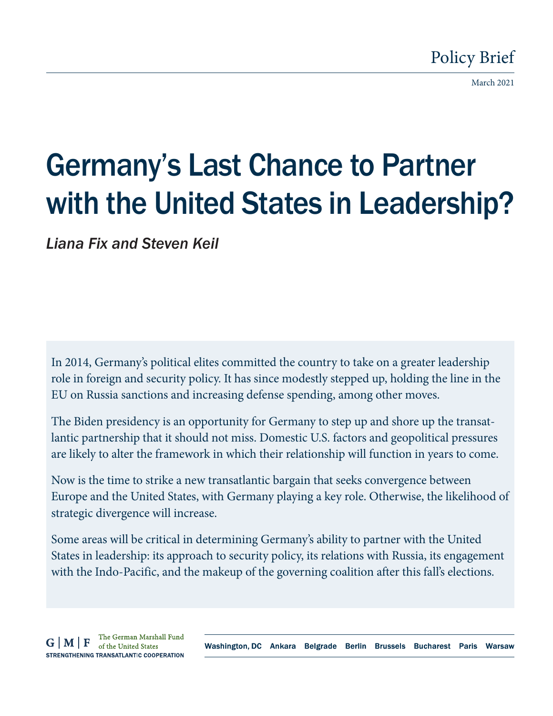# Policy Brief

March 2021

# Germany's Last Chance to Partner with the United States in Leadership?

*Liana Fix and Steven Keil*

In 2014, Germany's political elites committed the country to take on a greater leadership role in foreign and security policy. It has since modestly stepped up, holding the line in the EU on Russia sanctions and increasing defense spending, among other moves.

The Biden presidency is an opportunity for Germany to step up and shore up the transatlantic partnership that it should not miss. Domestic U.S. factors and geopolitical pressures are likely to alter the framework in which their relationship will function in years to come.

Now is the time to strike a new transatlantic bargain that seeks convergence between Europe and the United States, with Germany playing a key role. Otherwise, the likelihood of strategic divergence will increase.

Some areas will be critical in determining Germany's ability to partner with the United States in leadership: its approach to security policy, its relations with Russia, its engagement with the Indo-Pacific, and the makeup of the governing coalition after this fall's elections.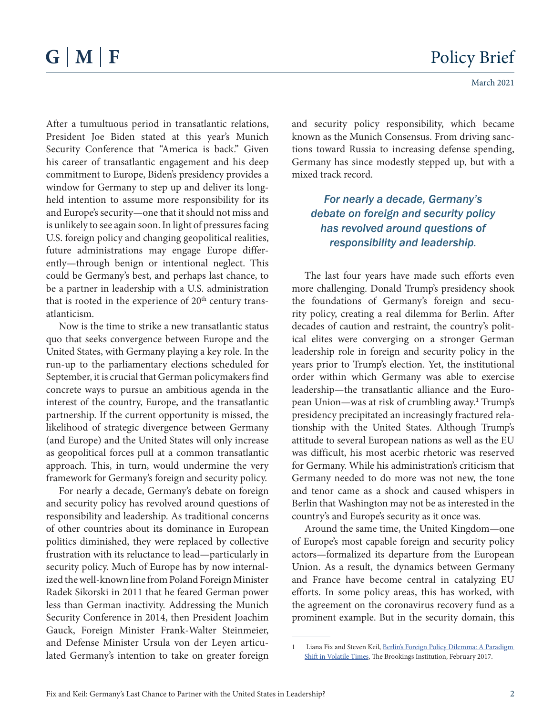After a tumultuous period in transatlantic relations, President Joe Biden stated at this year's Munich Security Conference that "America is back." Given his career of transatlantic engagement and his deep commitment to Europe, Biden's presidency provides a window for Germany to step up and deliver its longheld intention to assume more responsibility for its and Europe's security—one that it should not miss and is unlikely to see again soon. In light of pressures facing U.S. foreign policy and changing geopolitical realities, future administrations may engage Europe differently—through benign or intentional neglect. This could be Germany's best, and perhaps last chance, to be a partner in leadership with a U.S. administration that is rooted in the experience of  $20<sup>th</sup>$  century transatlanticism.

Now is the time to strike a new transatlantic status quo that seeks convergence between Europe and the United States, with Germany playing a key role. In the run-up to the parliamentary elections scheduled for September, it is crucial that German policymakers find concrete ways to pursue an ambitious agenda in the interest of the country, Europe, and the transatlantic partnership. If the current opportunity is missed, the likelihood of strategic divergence between Germany (and Europe) and the United States will only increase as geopolitical forces pull at a common transatlantic approach. This, in turn, would undermine the very framework for Germany's foreign and security policy.

For nearly a decade, Germany's debate on foreign and security policy has revolved around questions of responsibility and leadership. As traditional concerns of other countries about its dominance in European politics diminished, they were replaced by collective frustration with its reluctance to lead—particularly in security policy. Much of Europe has by now internalized the well-known line from Poland Foreign Minister Radek Sikorski in 2011 that he feared German power less than German inactivity. Addressing the Munich Security Conference in 2014, then President Joachim Gauck, Foreign Minister Frank-Walter Steinmeier, and Defense Minister Ursula von der Leyen articulated Germany's intention to take on greater foreign

and security policy responsibility, which became known as the Munich Consensus. From driving sanctions toward Russia to increasing defense spending, Germany has since modestly stepped up, but with a mixed track record.

*For nearly a decade, Germany's debate on foreign and security policy has revolved around questions of responsibility and leadership.* 

The last four years have made such efforts even more challenging. Donald Trump's presidency shook the foundations of Germany's foreign and security policy, creating a real dilemma for Berlin. After decades of caution and restraint, the country's political elites were converging on a stronger German leadership role in foreign and security policy in the years prior to Trump's election. Yet, the institutional order within which Germany was able to exercise leadership—the transatlantic alliance and the European Union—was at risk of crumbling away.<sup>1</sup> Trump's presidency precipitated an increasingly fractured relationship with the United States. Although Trump's attitude to several European nations as well as the EU was difficult, his most acerbic rhetoric was reserved for Germany. While his administration's criticism that Germany needed to do more was not new, the tone and tenor came as a shock and caused whispers in Berlin that Washington may not be as interested in the country's and Europe's security as it once was.

Around the same time, the United Kingdom—one of Europe's most capable foreign and security policy actors—formalized its departure from the European Union. As a result, the dynamics between Germany and France have become central in catalyzing EU efforts. In some policy areas, this has worked, with the agreement on the coronavirus recovery fund as a prominent example. But in the security domain, this

<sup>1</sup> Liana Fix and Steven Keil, [Berlin's Foreign Policy Dilemma: A Paradigm](https://www.brookings.edu/research/berlins-foreign-policy-dilemma-a-paradigm-shift-in-volatile-times/)  [Shift in Volatile Times](https://www.brookings.edu/research/berlins-foreign-policy-dilemma-a-paradigm-shift-in-volatile-times/), The Brookings Institution, February 2017.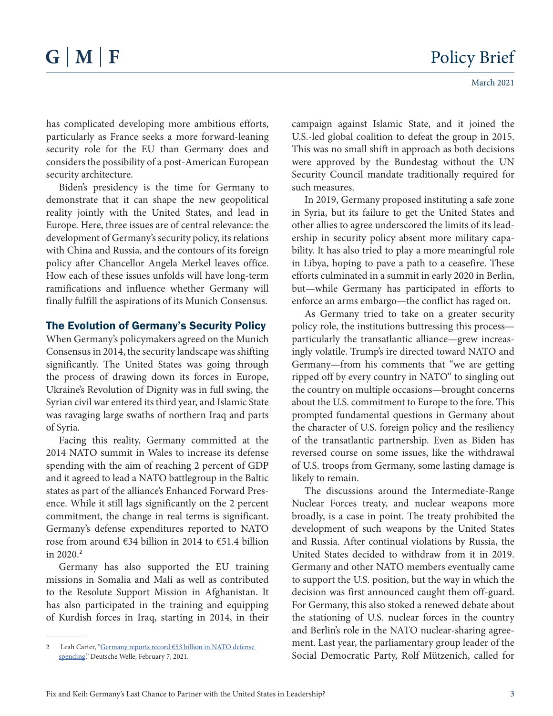has complicated developing more ambitious efforts, particularly as France seeks a more forward-leaning security role for the EU than Germany does and considers the possibility of a post-American European security architecture.

Biden's presidency is the time for Germany to demonstrate that it can shape the new geopolitical reality jointly with the United States, and lead in Europe. Here, three issues are of central relevance: the development of Germany's security policy, its relations with China and Russia, and the contours of its foreign policy after Chancellor Angela Merkel leaves office. How each of these issues unfolds will have long-term ramifications and influence whether Germany will finally fulfill the aspirations of its Munich Consensus.

# The Evolution of Germany's Security Policy

When Germany's policymakers agreed on the Munich Consensus in 2014, the security landscape was shifting significantly. The United States was going through the process of drawing down its forces in Europe, Ukraine's Revolution of Dignity was in full swing, the Syrian civil war entered its third year, and Islamic State was ravaging large swaths of northern Iraq and parts of Syria.

Facing this reality, Germany committed at the 2014 NATO summit in Wales to increase its defense spending with the aim of reaching 2 percent of GDP and it agreed to lead a NATO battlegroup in the Baltic states as part of the alliance's Enhanced Forward Presence. While it still lags significantly on the 2 percent commitment, the change in real terms is significant. Germany's defense expenditures reported to NATO rose from around €34 billion in 2014 to €51.4 billion in 2020.<sup>2</sup>

Germany has also supported the EU training missions in Somalia and Mali as well as contributed to the Resolute Support Mission in Afghanistan. It has also participated in the training and equipping of Kurdish forces in Iraq, starting in 2014, in their

campaign against Islamic State, and it joined the U.S.-led global coalition to defeat the group in 2015. This was no small shift in approach as both decisions were approved by the Bundestag without the UN Security Council mandate traditionally required for such measures.

In 2019, Germany proposed instituting a safe zone in Syria, but its failure to get the United States and other allies to agree underscored the limits of its leadership in security policy absent more military capability. It has also tried to play a more meaningful role in Libya, hoping to pave a path to a ceasefire. These efforts culminated in a summit in early 2020 in Berlin, but—while Germany has participated in efforts to enforce an arms embargo—the conflict has raged on.

As Germany tried to take on a greater security policy role, the institutions buttressing this process particularly the transatlantic alliance—grew increasingly volatile. Trump's ire directed toward NATO and Germany—from his comments that "we are getting ripped off by every country in NATO" to singling out the country on multiple occasions—brought concerns about the U.S. commitment to Europe to the fore. This prompted fundamental questions in Germany about the character of U.S. foreign policy and the resiliency of the transatlantic partnership. Even as Biden has reversed course on some issues, like the withdrawal of U.S. troops from Germany, some lasting damage is likely to remain.

The discussions around the Intermediate-Range Nuclear Forces treaty, and nuclear weapons more broadly, is a case in point. The treaty prohibited the development of such weapons by the United States and Russia. After continual violations by Russia, the United States decided to withdraw from it in 2019. Germany and other NATO members eventually came to support the U.S. position, but the way in which the decision was first announced caught them off-guard. For Germany, this also stoked a renewed debate about the stationing of U.S. nuclear forces in the country and Berlin's role in the NATO nuclear-sharing agreement. Last year, the parliamentary group leader of the Social Democratic Party, Rolf Mützenich, called for

<sup>2</sup> Leah Carter, "Germany reports record €53 billion in NATO defense [spending,](https://www.dw.com/en/germany-reports-record-53-billion-in-nato-defense-spending/a-56491017)" Deutsche Welle, February 7, 2021.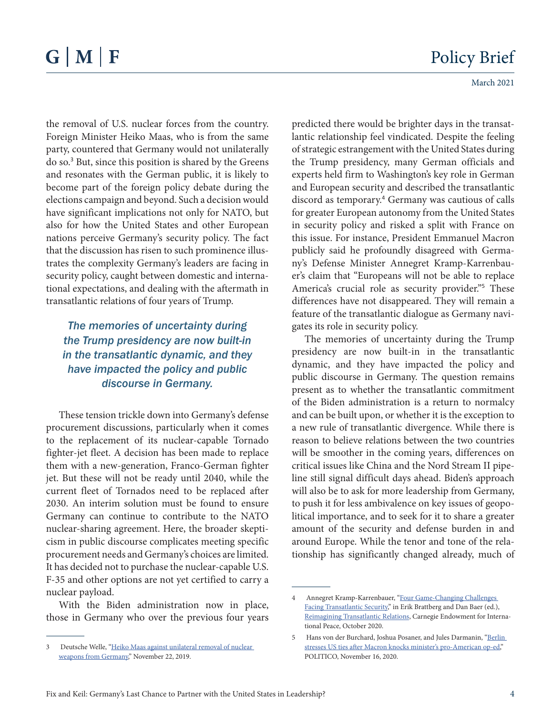the removal of U.S. nuclear forces from the country. Foreign Minister Heiko Maas, who is from the same party, countered that Germany would not unilaterally do so.<sup>3</sup> But, since this position is shared by the Greens and resonates with the German public, it is likely to become part of the foreign policy debate during the elections campaign and beyond. Such a decision would have significant implications not only for NATO, but also for how the United States and other European nations perceive Germany's security policy. The fact that the discussion has risen to such prominence illustrates the complexity Germany's leaders are facing in security policy, caught between domestic and international expectations, and dealing with the aftermath in transatlantic relations of four years of Trump.

# *The memories of uncertainty during the Trump presidency are now built-in in the transatlantic dynamic, and they have impacted the policy and public discourse in Germany.*

These tension trickle down into Germany's defense procurement discussions, particularly when it comes to the replacement of its nuclear-capable Tornado fighter-jet fleet. A decision has been made to replace them with a new-generation, Franco-German fighter jet. But these will not be ready until 2040, while the current fleet of Tornados need to be replaced after 2030. An interim solution must be found to ensure Germany can continue to contribute to the NATO nuclear-sharing agreement. Here, the broader skepticism in public discourse complicates meeting specific procurement needs and Germany's choices are limited. It has decided not to purchase the nuclear-capable U.S. F-35 and other options are not yet certified to carry a nuclear payload.

With the Biden administration now in place, those in Germany who over the previous four years

predicted there would be brighter days in the transatlantic relationship feel vindicated. Despite the feeling of strategic estrangement with the United States during the Trump presidency, many German officials and experts held firm to Washington's key role in German and European security and described the transatlantic discord as temporary.<sup>4</sup> Germany was cautious of calls for greater European autonomy from the United States in security policy and risked a split with France on this issue. For instance, President Emmanuel Macron publicly said he profoundly disagreed with Germany's Defense Minister Annegret Kramp-Karrenbauer's claim that "Europeans will not be able to replace America's crucial role as security provider."<sup>5</sup> These differences have not disappeared. They will remain a feature of the transatlantic dialogue as Germany navigates its role in security policy.

The memories of uncertainty during the Trump presidency are now built-in in the transatlantic dynamic, and they have impacted the policy and public discourse in Germany. The question remains present as to whether the transatlantic commitment of the Biden administration is a return to normalcy and can be built upon, or whether it is the exception to a new rule of transatlantic divergence. While there is reason to believe relations between the two countries will be smoother in the coming years, differences on critical issues like China and the Nord Stream II pipeline still signal difficult days ahead. Biden's approach will also be to ask for more leadership from Germany, to push it for less ambivalence on key issues of geopolitical importance, and to seek for it to share a greater amount of the security and defense burden in and around Europe. While the tenor and tone of the relationship has significantly changed already, much of

<sup>3</sup> Deutsche Welle, ["Heiko Maas against unilateral removal of nuclear](https://www.dw.com/en/heiko-maas-against-unilateral-removal-of-nuclear-weapons-from-germany/a-51362754)  [weapons from Germany,](https://www.dw.com/en/heiko-maas-against-unilateral-removal-of-nuclear-weapons-from-germany/a-51362754)" November 22, 2019.

<sup>4</sup> Annegret Kramp-Karrenbauer, "[Four Game-Changing Challenges](https://carnegieendowment.org/2020/10/06/four-game-changing-challenges-facing-transatlantic-security-pub-82852)  [Facing Transatlantic Security](https://carnegieendowment.org/2020/10/06/four-game-changing-challenges-facing-transatlantic-security-pub-82852)," in Erik Brattberg and Dan Baer (ed.), [Reimagining Transatlantic Relations](https://carnegieendowment.org/2020/10/06/reimagining-transatlantic-relations-pub-82848), Carnegie Endowment for International Peace, October 2020.

<sup>5</sup> Hans von der Burchard, Joshua Posaner, and Jules Darmanin, "Berlin [stresses US ties after Macron knocks minister's pro-American op-ed,](https://www.politico.eu/article/emmanuel-macron-annegret-kramp-karrenbauer-defense-europe-strategic-autonomy/)" POLITICO, November 16, 2020.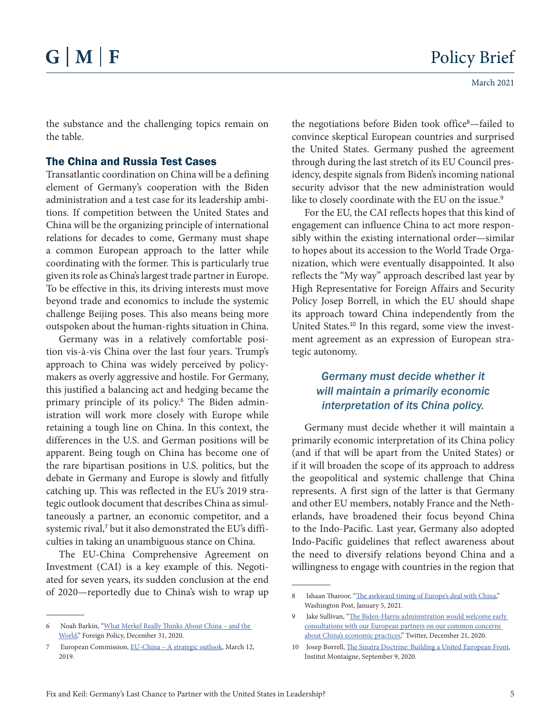the substance and the challenging topics remain on the table.

## The China and Russia Test Cases

Transatlantic coordination on China will be a defining element of Germany's cooperation with the Biden administration and a test case for its leadership ambitions. If competition between the United States and China will be the organizing principle of international relations for decades to come, Germany must shape a common European approach to the latter while coordinating with the former. This is particularly true given its role as China's largest trade partner in Europe. To be effective in this, its driving interests must move beyond trade and economics to include the systemic challenge Beijing poses. This also means being more outspoken about the human-rights situation in China.

Germany was in a relatively comfortable position vis-à-vis China over the last four years. Trump's approach to China was widely perceived by policymakers as overly aggressive and hostile. For Germany, this justified a balancing act and hedging became the primary principle of its policy.<sup>6</sup> The Biden administration will work more closely with Europe while retaining a tough line on China. In this context, the differences in the U.S. and German positions will be apparent. Being tough on China has become one of the rare bipartisan positions in U.S. politics, but the debate in Germany and Europe is slowly and fitfully catching up. This was reflected in the EU's 2019 strategic outlook document that describes China as simultaneously a partner, an economic competitor, and a systemic rival,<sup>7</sup> but it also demonstrated the EU's difficulties in taking an unambiguous stance on China.

The EU-China Comprehensive Agreement on Investment (CAI) is a key example of this. Negotiated for seven years, its sudden conclusion at the end of 2020—reportedly due to China's wish to wrap up

the negotiations before Biden took office<sup>8</sup>—failed to convince skeptical European countries and surprised the United States. Germany pushed the agreement through during the last stretch of its EU Council presidency, despite signals from Biden's incoming national security advisor that the new administration would like to closely coordinate with the EU on the issue.<sup>9</sup>

For the EU, the CAI reflects hopes that this kind of engagement can influence China to act more responsibly within the existing international order—similar to hopes about its accession to the World Trade Organization, which were eventually disappointed. It also reflects the "My way" approach described last year by High Representative for Foreign Affairs and Security Policy Josep Borrell, in which the EU should shape its approach toward China independently from the United States.<sup>10</sup> In this regard, some view the investment agreement as an expression of European strategic autonomy.

# *Germany must decide whether it will maintain a primarily economic interpretation of its China policy.*

Germany must decide whether it will maintain a primarily economic interpretation of its China policy (and if that will be apart from the United States) or if it will broaden the scope of its approach to address the geopolitical and systemic challenge that China represents. A first sign of the latter is that Germany and other EU members, notably France and the Netherlands, have broadened their focus beyond China to the Indo-Pacific. Last year, Germany also adopted Indo-Pacific guidelines that reflect awareness about the need to diversify relations beyond China and a willingness to engage with countries in the region that

<sup>6</sup> Noah Barkin, ["What Merkel Really Thinks About China – and the](https://foreignpolicy.com/2020/12/31/what-merkel-really-thinks-about-china-and-the-world/)  [World](https://foreignpolicy.com/2020/12/31/what-merkel-really-thinks-about-china-and-the-world/)," Foreign Policy, December 31, 2020.

<sup>7</sup> European Commission, EU-China - A strategic outlook, March 12, 2019.

<sup>8</sup> Ishaan Tharoor, ["The awkward timing of Europe's deal with China,](file:///C:\Users\skeil\AppData\Local\Microsoft\Windows\INetCache\Content.Outlook\S1R9DD6U\The%20awkward%20timing%20of%20Europe’s%20deal%20with%20China)" Washington Post, January 5, 2021.

<sup>9</sup> Jake Sullivan, "The Biden-Harris administration would welcome early [consultations with our European partners on our common concerns](https://twitter.com/jakejsullivan/status/1341180109118726144?lang=en)  [about China's economic practices](https://twitter.com/jakejsullivan/status/1341180109118726144?lang=en)," Twitter, December 21, 2020.

<sup>10</sup> Josep Borrell, [The Sinatra Doctrine: Building a United European Front](https://www.institutmontaigne.org/en/blog/sinatra-doctrine-building-united-european-front), Institut Montaigne, September 9, 2020.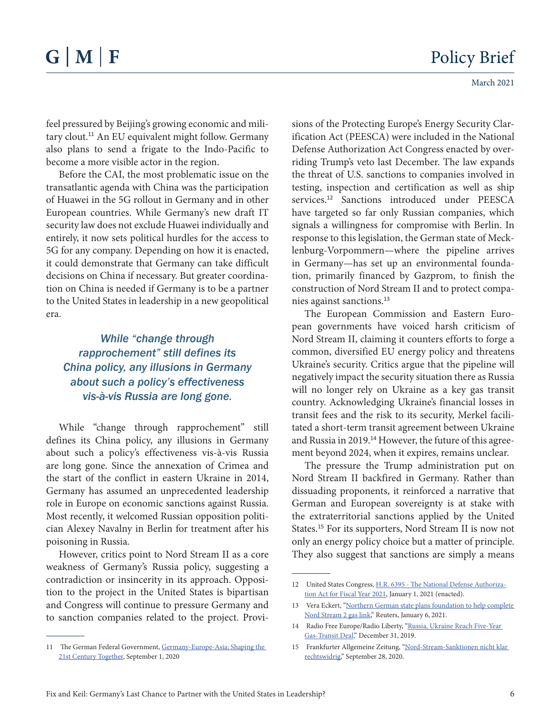feel pressured by Beijing's growing economic and military clout.<sup>11</sup> An EU equivalent might follow. Germany also plans to send a frigate to the Indo-Pacific to become a more visible actor in the region.

Before the CAI, the most problematic issue on the transatlantic agenda with China was the participation of Huawei in the 5G rollout in Germany and in other European countries. While Germany's new draft IT security law does not exclude Huawei individually and entirely, it now sets political hurdles for the access to 5G for any company. Depending on how it is enacted, it could demonstrate that Germany can take difficult decisions on China if necessary. But greater coordination on China is needed if Germany is to be a partner to the United States in leadership in a new geopolitical era.

# *While "change through rapprochement" still defines its China policy, any illusions in Germany about such a policy's effectiveness vis-à-vis Russia are long gone.*

While "change through rapprochement" still defines its China policy, any illusions in Germany about such a policy's effectiveness vis-à-vis Russia are long gone. Since the annexation of Crimea and the start of the conflict in eastern Ukraine in 2014, Germany has assumed an unprecedented leadership role in Europe on economic sanctions against Russia. Most recently, it welcomed Russian opposition politician Alexey Navalny in Berlin for treatment after his poisoning in Russia.

However, critics point to Nord Stream II as a core weakness of Germany's Russia policy, suggesting a contradiction or insincerity in its approach. Opposition to the project in the United States is bipartisan and Congress will continue to pressure Germany and to sanction companies related to the project. Provisions of the Protecting Europe's Energy Security Clarification Act (PEESCA) were included in the National Defense Authorization Act Congress enacted by overriding Trump's veto last December. The law expands the threat of U.S. sanctions to companies involved in testing, inspection and certification as well as ship services.<sup>12</sup> Sanctions introduced under PEESCA have targeted so far only Russian companies, which signals a willingness for compromise with Berlin. In response to this legislation, the German state of Mecklenburg-Vorpommern—where the pipeline arrives in Germany—has set up an environmental foundation, primarily financed by Gazprom, to finish the construction of Nord Stream II and to protect companies against sanctions.<sup>13</sup>

The European Commission and Eastern European governments have voiced harsh criticism of Nord Stream II, claiming it counters efforts to forge a common, diversified EU energy policy and threatens Ukraine's security. Critics argue that the pipeline will negatively impact the security situation there as Russia will no longer rely on Ukraine as a key gas transit country. Acknowledging Ukraine's financial losses in transit fees and the risk to its security, Merkel facilitated a short-term transit agreement between Ukraine and Russia in 2019.<sup>14</sup> However, the future of this agreement beyond 2024, when it expires, remains unclear.

The pressure the Trump administration put on Nord Stream II backfired in Germany. Rather than dissuading proponents, it reinforced a narrative that German and European sovereignty is at stake with the extraterritorial sanctions applied by the United States.<sup>15</sup> For its supporters, Nord Stream II is now not only an energy policy choice but a matter of principle. They also suggest that sanctions are simply a means

<sup>11</sup> The German Federal Government, Germany-Europe-Asia; Shaping the [21st Century Together](https://www.auswaertiges-amt.de/blob/2380514/f9784f7e3b3fa1bd7c5446d274a4169e/200901-indo-pazifik-leitlinien--1--data.pdf), September 1, 2020

<sup>12</sup> United States Congress, [H.R. 6395 - The National Defense Authoriza](https://www.congress.gov/bill/116th-congress/house-bill/6395/text?q=%7B%22search%22%3A%5B%22hr+6395%22%5D%7D&r=2&s=2)[tion Act for Fiscal Year 2021](https://www.congress.gov/bill/116th-congress/house-bill/6395/text?q=%7B%22search%22%3A%5B%22hr+6395%22%5D%7D&r=2&s=2), January 1, 2021 (enacted).

<sup>13</sup> Vera Eckert, ["Northern German state plans foundation to help complete](https://www.reuters.com/article/uk-germany-nordstream-foundation/northern-german-state-plans-foundation-to-help-complete-nord-stream-2-gas-link-idUKKBN29B1G7)  [Nord Stream 2 gas link](https://www.reuters.com/article/uk-germany-nordstream-foundation/northern-german-state-plans-foundation-to-help-complete-nord-stream-2-gas-link-idUKKBN29B1G7)," Reuters, January 6, 2021.

<sup>14</sup> Radio Free Europe/Radio Liberty, "Russia, Ukraine Reach Five-Year [Gas-Transit Deal](file:///C:\Users\skeil\AppData\Local\Microsoft\Windows\INetCache\Content.Outlook\S1R9DD6U\Russia,%20Ukraine%20Reach%20Five-Year%20Gas-Transit%20Deal)," December 31, 2019.

<sup>15</sup> Frankfurter Allgemeine Zeitung, ["Nord-Stream-Sanktionen nicht klar](https://www.faz.net/aktuell/wirtschaft/klima-energie-und-umwelt/bundestag-nord-stream-sanktionen-nicht-klar-rechtswidrig-16975042.html)  [rechtswidrig](https://www.faz.net/aktuell/wirtschaft/klima-energie-und-umwelt/bundestag-nord-stream-sanktionen-nicht-klar-rechtswidrig-16975042.html)," September 28, 2020.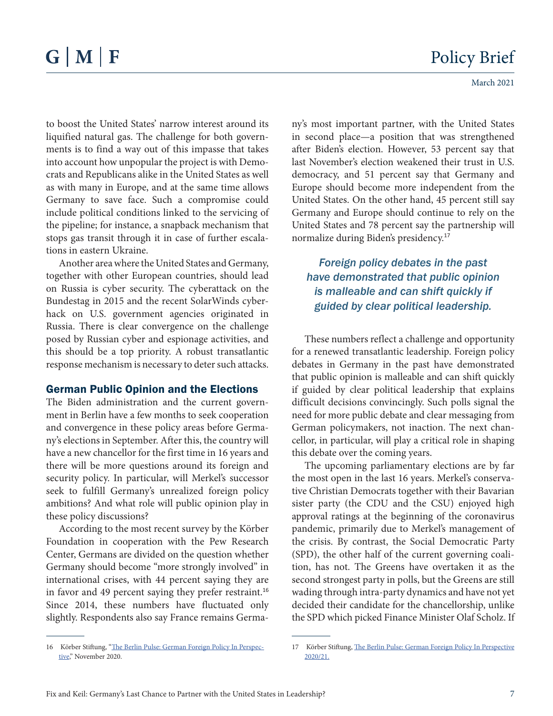to boost the United States' narrow interest around its liquified natural gas. The challenge for both governments is to find a way out of this impasse that takes into account how unpopular the project is with Democrats and Republicans alike in the United States as well as with many in Europe, and at the same time allows Germany to save face. Such a compromise could include political conditions linked to the servicing of the pipeline; for instance, a snapback mechanism that stops gas transit through it in case of further escalations in eastern Ukraine.

Another area where the United States and Germany, together with other European countries, should lead on Russia is cyber security. The cyberattack on the Bundestag in 2015 and the recent SolarWinds cyberhack on U.S. government agencies originated in Russia. There is clear convergence on the challenge posed by Russian cyber and espionage activities, and this should be a top priority. A robust transatlantic response mechanism is necessary to deter such attacks.

### German Public Opinion and the Elections

The Biden administration and the current government in Berlin have a few months to seek cooperation and convergence in these policy areas before Germany's elections in September. After this, the country will have a new chancellor for the first time in 16 years and there will be more questions around its foreign and security policy. In particular, will Merkel's successor seek to fulfill Germany's unrealized foreign policy ambitions? And what role will public opinion play in these policy discussions?

According to the most recent survey by the Körber Foundation in cooperation with the Pew Research Center, Germans are divided on the question whether Germany should become "more strongly involved" in international crises, with 44 percent saying they are in favor and 49 percent saying they prefer restraint.<sup>16</sup> Since 2014, these numbers have fluctuated only slightly. Respondents also say France remains Germany's most important partner, with the United States in second place—a position that was strengthened after Biden's election. However, 53 percent say that last November's election weakened their trust in U.S. democracy, and 51 percent say that Germany and Europe should become more independent from the United States. On the other hand, 45 percent still say Germany and Europe should continue to rely on the United States and 78 percent say the partnership will normalize during Biden's presidency.<sup>17</sup>

# *Foreign policy debates in the past have demonstrated that public opinion is malleable and can shift quickly if guided by clear political leadership.*

These numbers reflect a challenge and opportunity for a renewed transatlantic leadership. Foreign policy debates in Germany in the past have demonstrated that public opinion is malleable and can shift quickly if guided by clear political leadership that explains difficult decisions convincingly. Such polls signal the need for more public debate and clear messaging from German policymakers, not inaction. The next chancellor, in particular, will play a critical role in shaping this debate over the coming years.

The upcoming parliamentary elections are by far the most open in the last 16 years. Merkel's conservative Christian Democrats together with their Bavarian sister party (the CDU and the CSU) enjoyed high approval ratings at the beginning of the coronavirus pandemic, primarily due to Merkel's management of the crisis. By contrast, the Social Democratic Party (SPD), the other half of the current governing coalition, has not. The Greens have overtaken it as the second strongest party in polls, but the Greens are still wading through intra-party dynamics and have not yet decided their candidate for the chancellorship, unlike the SPD which picked Finance Minister Olaf Scholz. If

<sup>16</sup> Körber Stiftung, "[The Berlin Pulse: German Foreign Policy In Perspec](https://www.koerber-stiftung.de/en/the-berlin-pulse/202021)[tive,](https://www.koerber-stiftung.de/en/the-berlin-pulse/202021)" November 2020.

<sup>17</sup> Körber Stiftung, [The Berlin Pulse: German Foreign Policy In Perspective](https://www.koerber-stiftung.de/en/the-berlin-pulse/202021) 2020/21.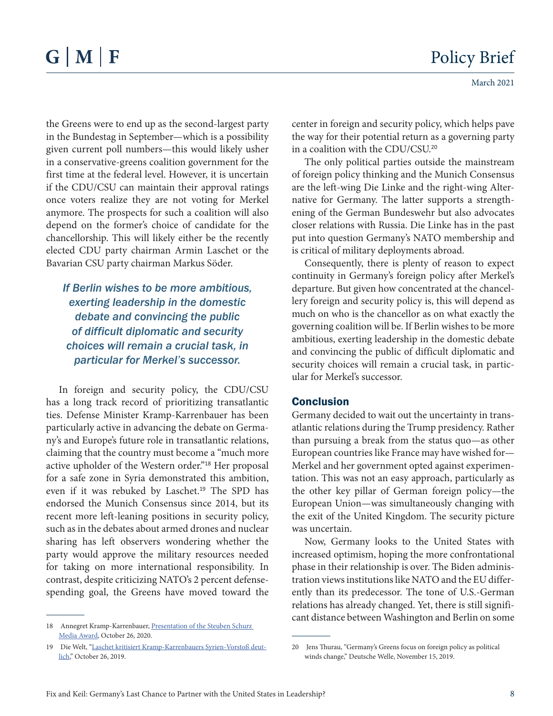the Greens were to end up as the second-largest party in the Bundestag in September—which is a possibility given current poll numbers—this would likely usher in a conservative-greens coalition government for the first time at the federal level. However, it is uncertain if the CDU/CSU can maintain their approval ratings once voters realize they are not voting for Merkel anymore. The prospects for such a coalition will also depend on the former's choice of candidate for the chancellorship. This will likely either be the recently elected CDU party chairman Armin Laschet or the Bavarian CSU party chairman Markus Söder.

# *If Berlin wishes to be more ambitious, exerting leadership in the domestic debate and convincing the public of difficult diplomatic and security choices will remain a crucial task, in particular for Merkel's successor.*

In foreign and security policy, the CDU/CSU has a long track record of prioritizing transatlantic ties. Defense Minister Kramp-Karrenbauer has been particularly active in advancing the debate on Germany's and Europe's future role in transatlantic relations, claiming that the country must become a "much more active upholder of the Western order."<sup>18</sup> Her proposal for a safe zone in Syria demonstrated this ambition, even if it was rebuked by Laschet.<sup>19</sup> The SPD has endorsed the Munich Consensus since 2014, but its recent more left-leaning positions in security policy, such as in the debates about armed drones and nuclear sharing has left observers wondering whether the party would approve the military resources needed for taking on more international responsibility. In contrast, despite criticizing NATO's 2 percent defensespending goal, the Greens have moved toward the

center in foreign and security policy, which helps pave the way for their potential return as a governing party in a coalition with the CDU/CSU.<sup>20</sup>

The only political parties outside the mainstream of foreign policy thinking and the Munich Consensus are the left-wing Die Linke and the right-wing Alternative for Germany. The latter supports a strengthening of the German Bundeswehr but also advocates closer relations with Russia. Die Linke has in the past put into question Germany's NATO membership and is critical of military deployments abroad.

Consequently, there is plenty of reason to expect continuity in Germany's foreign policy after Merkel's departure. But given how concentrated at the chancellery foreign and security policy is, this will depend as much on who is the chancellor as on what exactly the governing coalition will be. If Berlin wishes to be more ambitious, exerting leadership in the domestic debate and convincing the public of difficult diplomatic and security choices will remain a crucial task, in particular for Merkel's successor.

# **Conclusion**

Germany decided to wait out the uncertainty in transatlantic relations during the Trump presidency. Rather than pursuing a break from the status quo—as other European countries like France may have wished for— Merkel and her government opted against experimentation. This was not an easy approach, particularly as the other key pillar of German foreign policy—the European Union—was simultaneously changing with the exit of the United Kingdom. The security picture was uncertain.

Now, Germany looks to the United States with increased optimism, hoping the more confrontational phase in their relationship is over. The Biden administration views institutions like NATO and the EU differently than its predecessor. The tone of U.S.-German relations has already changed. Yet, there is still significant distance between Washington and Berlin on some

<sup>18</sup> Annegret Kramp-Karrenbauer, Presentation of the Steuben Schurz [Media Award](https://www.bmvg.de/en/news/speech-akk-presentation-steuben-schurz-media-award-3856630), October 26, 2020.

<sup>19</sup> Die Welt, "[Laschet kritisiert Kramp-Karrenbauers Syrien-Vorstoß deut](https://www.welt.de/politik/deutschland/article202525952/Was-meint-sie-Laschet-kritisiert-Kramp-Karrenbauers-Syrien-Vorstoss-deutlich.html)[lich,](https://www.welt.de/politik/deutschland/article202525952/Was-meint-sie-Laschet-kritisiert-Kramp-Karrenbauers-Syrien-Vorstoss-deutlich.html)" October 26, 2019.

<sup>20</sup> Jens Thurau, "Germany's Greens focus on foreign policy as political winds change," Deutsche Welle, November 15, 2019.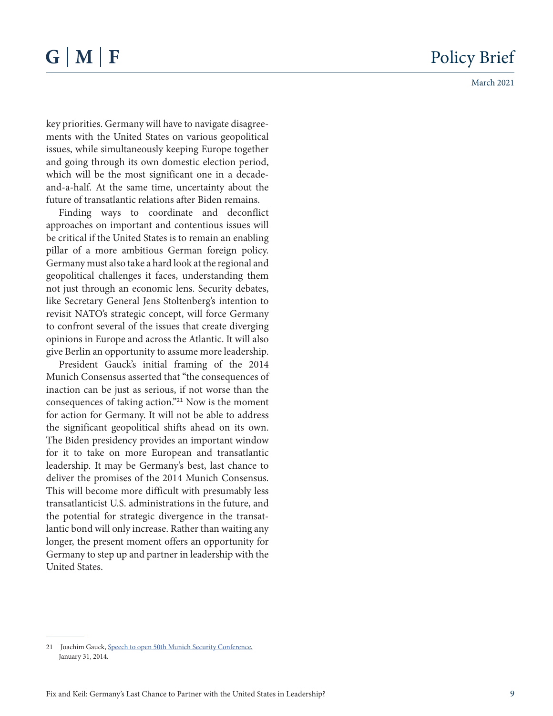key priorities. Germany will have to navigate disagree ments with the United States on various geopolitical issues, while simultaneously keeping Europe together and going through its own domestic election period, which will be the most significant one in a decadeand-a-half. At the same time, uncertainty about the future of transatlantic relations after Biden remains.

Finding ways to coordinate and deconflict approaches on important and contentious issues will be critical if the United States is to remain an enabling pillar of a more ambitious German foreign policy. Germany must also take a hard look at the regional and geopolitical challenges it faces, understanding them not just through an economic lens. Security debates, like Secretary General Jens Stoltenberg's intention to revisit NATO's strategic concept, will force Germany to confront several of the issues that create diverging opinions in Europe and across the Atlantic. It will also give Berlin an opportunity to assume more leadership.

President Gauck's initial framing of the 2014 Munich Consensus asserted that "the consequences of inaction can be just as serious, if not worse than the consequences of taking action."<sup>21</sup> Now is the moment for action for Germany. It will not be able to address the significant geopolitical shifts ahead on its own. The Biden presidency provides an important window for it to take on more European and transatlantic leadership. It may be Germany's best, last chance to deliver the promises of the 2014 Munich Consensus. This will become more difficult with presumably less transatlanticist U.S. administrations in the future, and the potential for strategic divergence in the transat lantic bond will only increase. Rather than waiting any longer, the present moment offers an opportunity for Germany to step up and partner in leadership with the United States.

<sup>21</sup> Joachim Gauck, [Speech to open 50th Munich Security Conference](https://www.bundespraesident.de/SharedDocs/Reden/EN/JoachimGauck/Reden/2014/140131-Munich-Security-Conference.html), January 31, 2014.